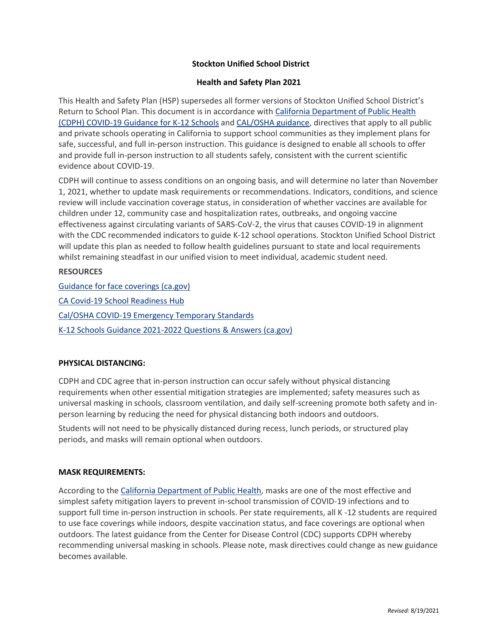# **Stockton Unified School District**

## **Health and Safety Plan 2021**

This Health and Safety Plan (HSP) supersedes all former versions of Stockton Unified School District's Return to School Plan. This document is in accordance with [California Department of Public Health](https://www.cdph.ca.gov/Programs/CID/DCDC/Pages/COVID-19/K-12-Guidance-2021-22-School-Year.aspx)  [\(CDPH\) COVID-19 Guidance for K-12 Schools](https://www.cdph.ca.gov/Programs/CID/DCDC/Pages/COVID-19/K-12-Guidance-2021-22-School-Year.aspx) and [CAL/OSHA guidance,](https://www.dir.ca.gov/dosh/coronavirus/COVID19FAQs.html) directives that apply to all public and private schools operating in California to support school communities as they implement plans for safe, successful, and full in-person instruction. This guidance is designed to enable all schools to offer and provide full in-person instruction to all students safely, consistent with the current scientific evidence about COVID-19.

CDPH will continue to assess conditions on an ongoing basis, and will determine no later than November 1, 2021, whether to update mask requirements or recommendations. Indicators, conditions, and science review will include vaccination coverage status, in consideration of whether vaccines are available for children under 12, community case and hospitalization rates, outbreaks, and ongoing vaccine effectiveness against circulating variants of SARS-CoV-2, the virus that causes COVID-19 in alignment with the CDC recommended indicators to guide K-12 school operations. Stockton Unified School District will update this plan as needed to follow health guidelines pursuant to state and local requirements whilst remaining steadfast in our unified vision to meet individual, academic student need.

## **RESOURCES**

[Guidance for face coverings \(ca.gov\)](https://www.cdph.ca.gov/Programs/CID/DCDC/Pages/COVID-19/guidance-for-face-coverings.aspx) [CA Covid-19 School Readiness Hub](https://schools.covid19.ca.gov/) [Cal/OSHA COVID-19 Emergency Temporary Standards](https://www.dir.ca.gov/dosh/coronavirus/ETS.html) [K-12 Schools Guidance 2021-2022 Questions & Answers](https://www.cdph.ca.gov/Programs/CID/DCDC/Pages/COVID-19/Schools-FAQ.aspx) (ca.gov)

# **PHYSICAL DISTANCING:**

CDPH and CDC agree that in-person instruction can occur safely without physical distancing requirements when other essential mitigation strategies are implemented; safety measures such as universal masking in schools, classroom ventilation, and daily self-screening promote both safety and inperson learning by reducing the need for physical distancing both indoors and outdoors.

Students will not need to be physically distanced during recess, lunch periods, or structured play periods, and masks will remain optional when outdoors.

## **MASK REQUIREMENTS:**

According to the [California Department of Public Health,](https://www.cdph.ca.gov/Programs/CID/DCDC/Pages/COVID-19/K-12-Guidance-2021-22-School-Year.aspx) masks are one of the most effective and simplest safety mitigation layers to prevent in-school transmission of COVID-19 infections and to support full time in-person instruction in schools. Per state requirements, all K -12 students are required to use face coverings while indoors, despite vaccination status, and face coverings are optional when outdoors. The latest guidance from the Center for Disease Control (CDC) supports CDPH whereby recommending universal masking in schools. Please note, mask directives could change as new guidance becomes available.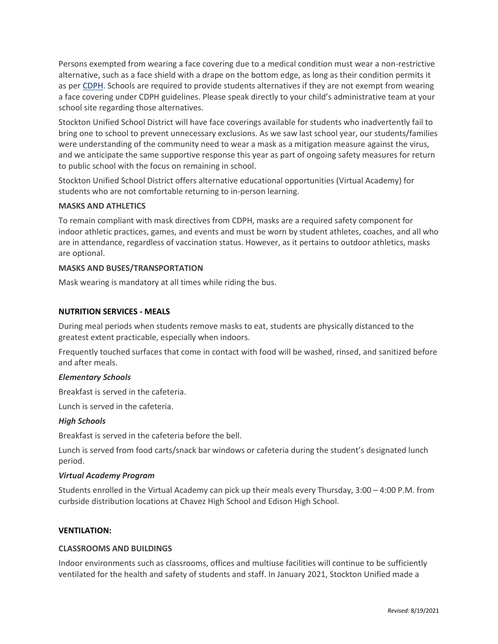Persons exempted from wearing a face covering due to a medical condition must wear a non-restrictive alternative, such as a face shield with a drape on the bottom edge, as long as their condition permits it as per [CDPH.](https://www.cdph.ca.gov/Programs/CID/DCDC/Pages/COVID-19/K-12-Guidance-2021-22-School-Year.aspx) Schools are required to provide students alternatives if they are not exempt from wearing a face covering under CDPH guidelines. Please speak directly to your child's administrative team at your school site regarding those alternatives.

Stockton Unified School District will have face coverings available for students who inadvertently fail to bring one to school to prevent unnecessary exclusions. As we saw last school year, our students/families were understanding of the community need to wear a mask as a mitigation measure against the virus, and we anticipate the same supportive response this year as part of ongoing safety measures for return to public school with the focus on remaining in school.

Stockton Unified School District offers alternative educational opportunities (Virtual Academy) for students who are not comfortable returning to in-person learning.

## **MASKS AND ATHLETICS**

To remain compliant with mask directives from CDPH, masks are a required safety component for indoor athletic practices, games, and events and must be worn by student athletes, coaches, and all who are in attendance, regardless of vaccination status. However, as it pertains to outdoor athletics, masks are optional.

# **MASKS AND BUSES/TRANSPORTATION**

Mask wearing is mandatory at all times while riding the bus.

# **NUTRITION SERVICES - MEALS**

During meal periods when students remove masks to eat, students are physically distanced to the greatest extent practicable, especially when indoors.

Frequently touched surfaces that come in contact with food will be washed, rinsed, and sanitized before and after meals.

## *Elementary Schools*

Breakfast is served in the cafeteria.

Lunch is served in the cafeteria.

## *High Schools*

Breakfast is served in the cafeteria before the bell.

Lunch is served from food carts/snack bar windows or cafeteria during the student's designated lunch period.

## *Virtual Academy Program*

Students enrolled in the Virtual Academy can pick up their meals every Thursday, 3:00 – 4:00 P.M. from curbside distribution locations at Chavez High School and Edison High School.

## **VENTILATION:**

## **CLASSROOMS AND BUILDINGS**

Indoor environments such as classrooms, offices and multiuse facilities will continue to be sufficiently ventilated for the health and safety of students and staff. In January 2021, Stockton Unified made a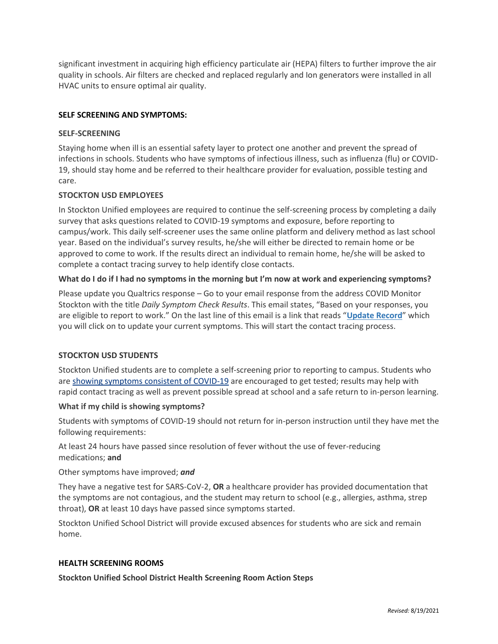significant investment in acquiring high efficiency particulate air (HEPA) filters to further improve the air quality in schools. Air filters are checked and replaced regularly and Ion generators were installed in all HVAC units to ensure optimal air quality.

# **SELF SCREENING AND SYMPTOMS:**

## **SELF-SCREENING**

Staying home when ill is an essential safety layer to protect one another and prevent the spread of infections in schools. Students who have symptoms of infectious illness, such as influenza (flu) or COVID-19, should stay home and be referred to their healthcare provider for evaluation, possible testing and care.

## **STOCKTON USD EMPLOYEES**

In Stockton Unified employees are required to continue the self-screening process by completing a daily survey that asks questions related to COVID-19 symptoms and exposure, before reporting to campus/work. This daily self-screener uses the same online platform and delivery method as last school year. Based on the individual's survey results, he/she will either be directed to remain home or be approved to come to work. If the results direct an individual to remain home, he/she will be asked to complete a contact tracing survey to help identify close contacts.

# **What do I do if I had no symptoms in the morning but I'm now at work and experiencing symptoms?**

Please update you Qualtrics response – Go to your email response from the address COVID Monitor Stockton with the title *Daily Symptom Check Results*. This email states, "Based on your responses, you are eligible to report to work." On the last line of this email is a link that reads "**Update Record**" which you will click on to update your current symptoms. This will start the contact tracing process.

# **STOCKTON USD STUDENTS**

Stockton Unified students are to complete a self-screening prior to reporting to campus. Students who are [showing symptoms consistent of COVID-19](https://www.cdc.gov/coronavirus/2019-ncov/symptoms-testing/symptoms.html) are encouraged to get tested; results may help with rapid contact tracing as well as prevent possible spread at school and a safe return to in-person learning.

## **What if my child is showing symptoms?**

Students with symptoms of COVID-19 should not return for in-person instruction until they have met the following requirements:

At least 24 hours have passed since resolution of fever without the use of fever-reducing medications; **and**

Other symptoms have improved; *and*

They have a negative test for SARS-CoV-2, **OR** a healthcare provider has provided documentation that the symptoms are not contagious, and the student may return to school (e.g., allergies, asthma, strep throat), **OR** at least 10 days have passed since symptoms started.

Stockton Unified School District will provide excused absences for students who are sick and remain home.

## **HEALTH SCREENING ROOMS**

**Stockton Unified School District Health Screening Room Action Steps**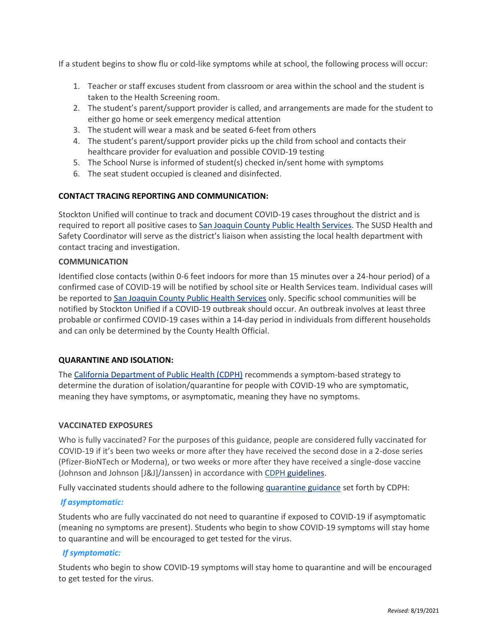If a student begins to show flu or cold-like symptoms while at school, the following process will occur:

- 1. Teacher or staff excuses student from classroom or area within the school and the student is taken to the Health Screening room.
- 2. The student's parent/support provider is called, and arrangements are made for the student to either go home or seek emergency medical attention
- 3. The student will wear a mask and be seated 6-feet from others
- 4. The student's parent/support provider picks up the child from school and contacts their healthcare provider for evaluation and possible COVID-19 testing
- 5. The School Nurse is informed of student(s) checked in/sent home with symptoms
- 6. The seat student occupied is cleaned and disinfected.

# **CONTACT TRACING REPORTING AND COMMUNICATION:**

Stockton Unified will continue to track and document COVID-19 cases throughout the district and is required to report all positive cases to [San Joaquin County Public Health Services.](https://sjready.org/events/covid19/vaccines.html) The SUSD Health and Safety Coordinator will serve as the district's liaison when assisting the local health department with contact tracing and investigation.

# **COMMUNICATION**

Identified close contacts (within 0-6 feet indoors for more than 15 minutes over a 24-hour period) of a confirmed case of COVID-19 will be notified by school site or Health Services team. Individual cases will be reported to [San Joaquin County Public Health Services](https://sjready.org/events/covid19/vaccines.html) only. Specific school communities will be notified by Stockton Unified if a COVID-19 outbreak should occur. An outbreak involves at least three probable or confirmed COVID-19 cases within a 14-day period in individuals from different households and can only be determined by the County Health Official.

# **QUARANTINE AND ISOLATION:**

The [California Department of Public Health \(CDPH\)](https://www.cdph.ca.gov/Programs/CID/DCDC/Pages/COVID-19/K-12-Guidance-2021-22-School-Year.aspx) recommends a symptom-based strategy to determine the duration of isolation/quarantine for people with COVID-19 who are symptomatic, meaning they have symptoms, or asymptomatic, meaning they have no symptoms.

## **VACCINATED EXPOSURES**

Who is fully vaccinated? For the purposes of this guidance, people are considered fully vaccinated for COVID-19 if it's been two weeks or more after they have received the second dose in a 2-dose series (Pfizer-BioNTech or Moderna), or two weeks or more after they have received a single-dose vaccine (Johnson and Johnson [J&J]/Janssen) in accordance with [CDPH guidelines.](https://www.cdph.ca.gov/Programs/CID/DCDC/Pages/COVID-19/COVID-19-Public-Health-Recommendations-for-Fully-Vaccinated-People.aspx)

Fully vaccinated students should adhere to the following [quarantine guidance](https://www.cdph.ca.gov/Programs/CID/DCDC/Pages/COVID-19/COVID-19-Public-Health-Recommendations-for-Fully-Vaccinated-People.aspx) set forth by CDPH:

# *If asymptomatic:*

Students who are fully vaccinated do not need to quarantine if exposed to COVID-19 if asymptomatic (meaning no symptoms are present). Students who begin to show COVID-19 symptoms will stay home to quarantine and will be encouraged to get tested for the virus.

# *If symptomatic:*

Students who begin to show COVID-19 symptoms will stay home to quarantine and will be encouraged to get tested for the virus.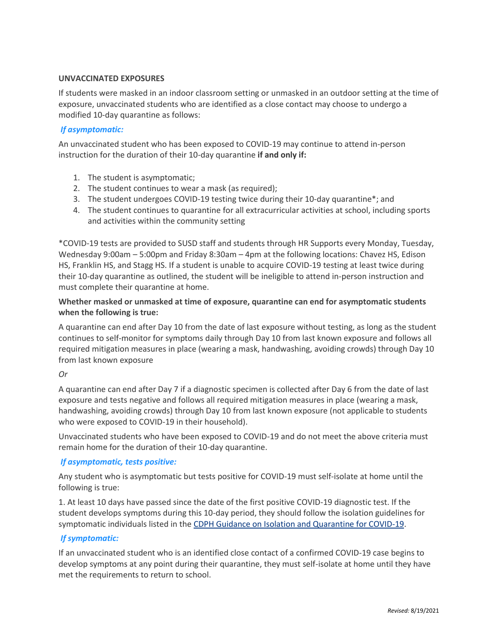# **UNVACCINATED EXPOSURES**

If students were masked in an indoor classroom setting or unmasked in an outdoor setting at the time of exposure, unvaccinated students who are identified as a close contact may choose to undergo a modified 10-day quarantine as follows:

# *If asymptomatic:*

An unvaccinated student who has been exposed to COVID-19 may continue to attend in-person instruction for the duration of their 10-day quarantine **if and only if:**

- 1. The student is asymptomatic;
- 2. The student continues to wear a mask (as required);
- 3. The student undergoes COVID-19 testing twice during their 10-day quarantine\*; and
- 4. The student continues to quarantine for all extracurricular activities at school, including sports and activities within the community setting

\*COVID-19 tests are provided to SUSD staff and students through HR Supports every Monday, Tuesday, Wednesday 9:00am – 5:00pm and Friday 8:30am – 4pm at the following locations: Chavez HS, Edison HS, Franklin HS, and Stagg HS. If a student is unable to acquire COVID-19 testing at least twice during their 10-day quarantine as outlined, the student will be ineligible to attend in-person instruction and must complete their quarantine at home.

# **Whether masked or unmasked at time of exposure, quarantine can end for asymptomatic students when the following is true:**

A quarantine can end after Day 10 from the date of last exposure without testing, as long as the student continues to self-monitor for symptoms daily through Day 10 from last known exposure and follows all required mitigation measures in place (wearing a mask, handwashing, avoiding crowds) through Day 10 from last known exposure

# *Or*

A quarantine can end after Day 7 if a diagnostic specimen is collected after Day 6 from the date of last exposure and tests negative and follows all required mitigation measures in place (wearing a mask, handwashing, avoiding crowds) through Day 10 from last known exposure (not applicable to students who were exposed to COVID-19 in their household).

Unvaccinated students who have been exposed to COVID-19 and do not meet the above criteria must remain home for the duration of their 10-day quarantine.

# *If asymptomatic, tests positive:*

Any student who is asymptomatic but tests positive for COVID-19 must self-isolate at home until the following is true:

1. At least 10 days have passed since the date of the first positive COVID-19 diagnostic test. If the student develops symptoms during this 10-day period, they should follow the isolation guidelines for symptomatic individuals listed in the [CDPH Guidance on Isolation and Quarantine for COVID-19.](https://www.cdph.ca.gov/Programs/CID/DCDC/Pages/COVID-19/Guidance-on-Isolation-and-Quarantine-for-COVID-19-Contact-Tracing.aspx)

# *If symptomatic:*

If an unvaccinated student who is an identified close contact of a confirmed COVID-19 case begins to develop symptoms at any point during their quarantine, they must self-isolate at home until they have met the requirements to return to school.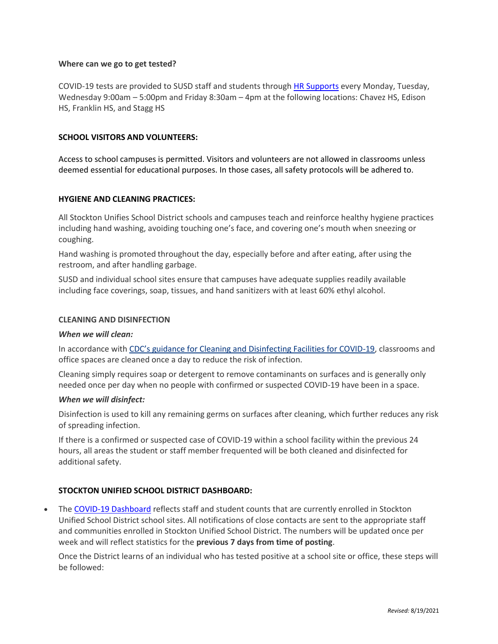#### **Where can we go to get tested?**

COVID-19 tests are provided to SUSD staff and students through [HR Supports](https://www.stocktonusd.net/Page/15093) every Monday, Tuesday, Wednesday 9:00am – 5:00pm and Friday 8:30am – 4pm at the following locations: Chavez HS, Edison HS, Franklin HS, and Stagg HS

#### **SCHOOL VISITORS AND VOLUNTEERS:**

Access to school campuses is permitted. Visitors and volunteers are not allowed in classrooms unless deemed essential for educational purposes. In those cases, all safety protocols will be adhered to.

#### **HYGIENE AND CLEANING PRACTICES:**

All Stockton Unifies School District schools and campuses teach and reinforce healthy hygiene practices including hand washing, avoiding touching one's face, and covering one's mouth when sneezing or coughing.

Hand washing is promoted throughout the day, especially before and after eating, after using the restroom, and after handling garbage.

SUSD and individual school sites ensure that campuses have adequate supplies readily available including face coverings, soap, tissues, and hand sanitizers with at least 60% ethyl alcohol.

#### **CLEANING AND DISINFECTION**

#### *When we will clean:*

In accordance with [CDC's guidance for Cleaning and Disinfecting Facilities for COVID](https://www.cdc.gov/coronavirus/2019-ncov/community/disinfecting-building-facility.html)-19, classrooms and office spaces are cleaned once a day to reduce the risk of infection.

Cleaning simply requires soap or detergent to remove contaminants on surfaces and is generally only needed once per day when no people with confirmed or suspected COVID-19 have been in a space.

#### *When we will disinfect:*

Disinfection is used to kill any remaining germs on surfaces after cleaning, which further reduces any risk of spreading infection.

If there is a confirmed or suspected case of COVID-19 within a school facility within the previous 24 hours, all areas the student or staff member frequented will be both cleaned and disinfected for additional safety.

## **STOCKTON UNIFIED SCHOOL DISTRICT DASHBOARD:**

 The [COVID-19 Dashboard](https://www.stocktonusd.net/Page/15925) reflects staff and student counts that are currently enrolled in Stockton Unified School District school sites. All notifications of close contacts are sent to the appropriate staff and communities enrolled in Stockton Unified School District. The numbers will be updated once per week and will reflect statistics for the **previous 7 days from time of posting**.

Once the District learns of an individual who has tested positive at a school site or office, these steps will be followed: